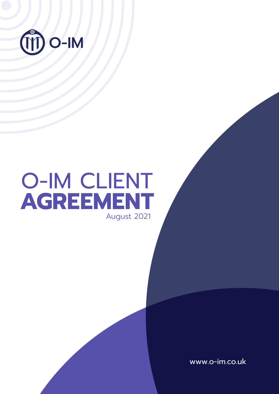

# O-IM CLIENT **AGREEMENT** August 2021

www.o-im.co.uk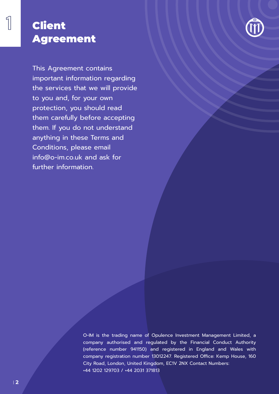## Client Agreement

This Agreement contains important information regarding the services that we will provide to you and, for your own protection, you should read them carefully before accepting them. If you do not understand anything in these Terms and Conditions, please email info@o-im.co.uk and ask for

further information.

O-IM is the trading name of Opulence Investment Management Limited, a company authorised and regulated by the Financial Conduct Authority (reference number 941150) and registered in England and Wales with company registration number 13012247. Registered Office: Kemp House, 160 City Road, London, United Kingdom, EC1V 2NX Contact Numbers: +44 1202 129703 / +44 2031 371813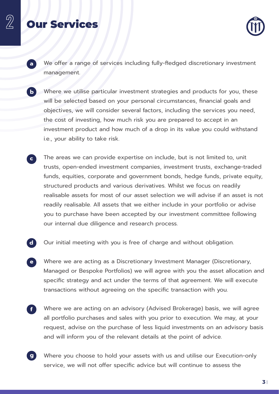### Our Services



- We offer a range of services including fully-fledged discretionary investment management. **a**
- Where we utilise particular investment strategies and products for you, these will be selected based on your personal circumstances, financial goals and objectives, we will consider several factors, including the services you need, the cost of investing, how much risk you are prepared to accept in an investment product and how much of a drop in its value you could withstand i.e., your ability to take risk. **b**
- The areas we can provide expertise on include, but is not limited to, unit trusts, open-ended investment companies, investment trusts, exchange-traded funds, equities, corporate and government bonds, hedge funds, private equity, structured products and various derivatives. Whilst we focus on readily realisable assets for most of our asset selection we will advise if an asset is not readily realisable. All assets that we either include in your portfolio or advise you to purchase have been accepted by our investment committee following our internal due diligence and research process. **c**
- Our initial meeting with you is free of charge and without obligation. **d**
- Where we are acting as a Discretionary Investment Manager (Discretionary, Managed or Bespoke Portfolios) we will agree with you the asset allocation and specific strategy and act under the terms of that agreement. We will execute transactions without agreeing on the specific transaction with you. **e**
- Where we are acting on an advisory (Advised Brokerage) basis, we will agree all portfolio purchases and sales with you prior to execution. We may, at your request, advise on the purchase of less liquid investments on an advisory basis and will inform you of the relevant details at the point of advice. **f**
- Where you choose to hold your assets with us and utilise our Execution-only service, we will not offer specific advice but will continue to assess the **g**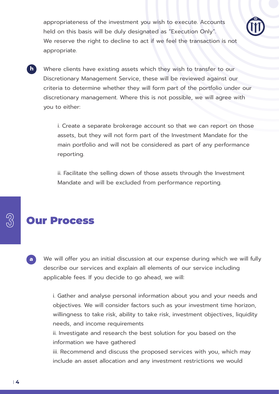appropriateness of the investment you wish to execute. Accounts held on this basis will be duly designated as "Execution Only". We reserve the right to decline to act if we feel the transaction is not appropriate.



**h**

Where clients have existing assets which they wish to transfer to our Discretionary Management Service, these will be reviewed against our criteria to determine whether they will form part of the portfolio under our discretionary management. Where this is not possible, we will agree with you to either:

i. Create a separate brokerage account so that we can report on those assets, but they will not form part of the Investment Mandate for the main portfolio and will not be considered as part of any performance reporting.

ii. Facilitate the selling down of those assets through the Investment Mandate and will be excluded from performance reporting.

### Our Process

We will offer you an initial discussion at our expense during which we will fully describe our services and explain all elements of our service including applicable fees. If you decide to go ahead, we will: **a**

> i. Gather and analyse personal information about you and your needs and objectives. We will consider factors such as your investment time horizon, willingness to take risk, ability to take risk, investment objectives, liquidity needs, and income requirements

ii. Investigate and research the best solution for you based on the information we have gathered

iii. Recommend and discuss the proposed services with you, which may include an asset allocation and any investment restrictions we would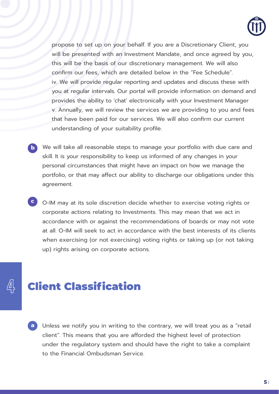

propose to set up on your behalf. If you are a Discretionary Client, you will be presented with an Investment Mandate, and once agreed by you, this will be the basis of our discretionary management. We will also confirm our fees, which are detailed below in the "Fee Schedule". iv. We will provide regular reporting and updates and discuss these with you at regular intervals. Our portal will provide information on demand and provides the ability to 'chat' electronically with your Investment Manager v. Annually, we will review the services we are providing to you and fees that have been paid for our services. We will also confirm our current understanding of your suitability profile.

- **b** We will take all reasonable steps to manage your portfolio with due care and skill. It is your responsibility to keep us informed of any changes in your personal circumstances that might have an impact on how we manage the portfolio, or that may affect our ability to discharge our obligations under this agreement.
- **c** O-IM may at its sole discretion decide whether to exercise voting rights or corporate actions relating to Investments. This may mean that we act in accordance with or against the recommendations of boards or may not vote at all. O-IM will seek to act in accordance with the best interests of its clients when exercising (or not exercising) voting rights or taking up (or not taking up) rights arising on corporate actions.

# Client Classification

**a** Unless we notify you in writing to the contrary, we will treat you as a "retail client". This means that you are afforded the highest level of protection under the regulatory system and should have the right to take a complaint to the Financial Ombudsman Service.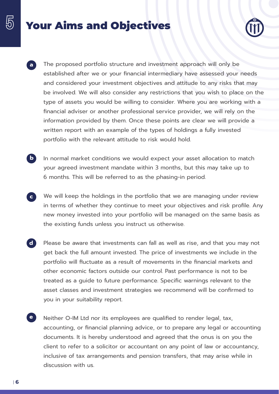# Your Aims and Objectives



- The proposed portfolio structure and investment approach will only be established after we or your financial intermediary have assessed your needs and considered your investment objectives and attitude to any risks that may be involved. We will also consider any restrictions that you wish to place on the type of assets you would be willing to consider. Where you are working with a financial adviser or another professional service provider, we will rely on the information provided by them. Once these points are clear we will provide a written report with an example of the types of holdings a fully invested portfolio with the relevant attitude to risk would hold. **a**
- In normal market conditions we would expect your asset allocation to match your agreed investment mandate within 3 months, but this may take up to 6 months. This will be referred to as the phasing-in period. **b**
- We will keep the holdings in the portfolio that we are managing under review in terms of whether they continue to meet your objectives and risk profile. Any new money invested into your portfolio will be managed on the same basis as the existing funds unless you instruct us otherwise. **c**
- Please be aware that investments can fall as well as rise, and that you may not get back the full amount invested. The price of investments we include in the portfolio will fluctuate as a result of movements in the financial markets and other economic factors outside our control. Past performance is not to be treated as a guide to future performance. Specific warnings relevant to the asset classes and investment strategies we recommend will be confirmed to you in your suitability report. **d**
- Neither O-IM Ltd nor its employees are qualified to render legal, tax, accounting, or financial planning advice, or to prepare any legal or accounting documents. It is hereby understood and agreed that the onus is on you the client to refer to a solicitor or accountant on any point of law or accountancy, inclusive of tax arrangements and pension transfers, that may arise while in discussion with us. **e**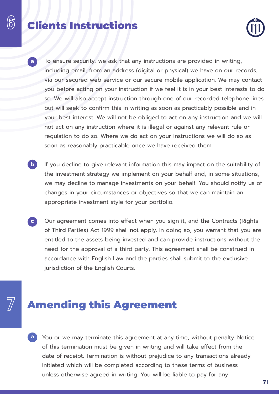### Clients Instructions



- To ensure security, we ask that any instructions are provided in writing, including email, from an address (digital or physical) we have on our records, via our secured web service or our secure mobile application. We may contact you before acting on your instruction if we feel it is in your best interests to do so. We will also accept instruction through one of our recorded telephone lines but will seek to confirm this in writing as soon as practicably possible and in your best interest. We will not be obliged to act on any instruction and we will not act on any instruction where it is illegal or against any relevant rule or regulation to do so. Where we do act on your instructions we will do so as soon as reasonably practicable once we have received them. **a**
- If you decline to give relevant information this may impact on the suitability of the investment strategy we implement on your behalf and, in some situations, we may decline to manage investments on your behalf. You should notify us of changes in your circumstances or objectives so that we can maintain an appropriate investment style for your portfolio. **b**
- Our agreement comes into effect when you sign it, and the Contracts (Rights of Third Parties) Act 1999 shall not apply. In doing so, you warrant that you are entitled to the assets being invested and can provide instructions without the need for the approval of a third party. This agreement shall be construed in accordance with English Law and the parties shall submit to the exclusive jurisdiction of the English Courts. **c**

## Amending this Agreement

**a** You or we may terminate this agreement at any time, without penalty. Notice of this termination must be given in writing and will take effect from the date of receipt. Termination is without prejudice to any transactions already initiated which will be completed according to these terms of business unless otherwise agreed in writing. You will be liable to pay for any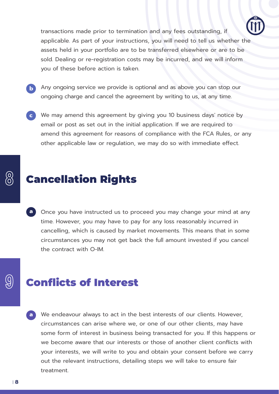

transactions made prior to termination and any fees outstanding, if applicable. As part of your instructions, you will need to tell us whether the assets held in your portfolio are to be transferred elsewhere or are to be sold. Dealing or re-registration costs may be incurred, and we will inform you of these before action is taken.

**b**

Any ongoing service we provide is optional and as above you can stop our ongoing charge and cancel the agreement by writing to us, at any time.

We may amend this agreement by giving you 10 business days' notice by **c** email or post as set out in the initial application. If we are required to amend this agreement for reasons of compliance with the FCA Rules, or any other applicable law or regulation, we may do so with immediate effect.

### Cancellation Rights

**a** Once you have instructed us to proceed you may change your mind at any time. However, you may have to pay for any loss reasonably incurred in cancelling, which is caused by market movements. This means that in some circumstances you may not get back the full amount invested if you cancel the contract with O-IM.

## Conflicts of Interest

**a** We endeavour always to act in the best interests of our clients. However, circumstances can arise where we, or one of our other clients, may have some form of interest in business being transacted for you. If this happens or we become aware that our interests or those of another client conflicts with your interests, we will write to you and obtain your consent before we carry out the relevant instructions, detailing steps we will take to ensure fair treatment.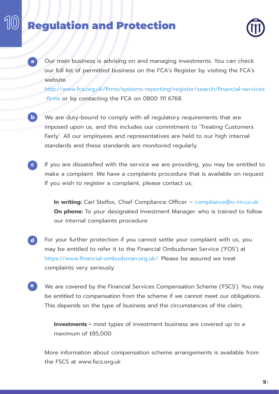# Regulation and Protection

**a**



Our main business is advising on and managing investments. You can check our full list of permitted business on the FCA's Register by visiting the FCA's website

http://www.fca.org.uk/firms/systems-reporting/register/search/financial-services -firms or by contacting the FCA on 0800 111 6768.

- We are duty-bound to comply with all regulatory requirements that are imposed upon us, and this includes our commitment to 'Treating Customers Fairly'. All our employees and representatives are held to our high internal standards and these standards are monitored regularly. **b**
- If you are dissatisfied with the service we are providing, you may be entitled to make a complaint. We have a complaints procedure that is available on request. If you wish to register a complaint, please contact us; **c**

**In writing:** Carl Stelfox, Chief Compliance Officer – compliance@o-im.co.uk **On phone:** To your designated Investment Manager who is trained to follow our internal complaints procedure

- For your further protection if you cannot settle your complaint with us, you may be entitled to refer it to the Financial Ombudsman Service ('FOS') at https://www.financial-ombudsman.org.uk/. Please be assured we treat complaints very seriously. **d**
- We are covered by the Financial Services Compensation Scheme ('FSCS'). You may be entitled to compensation from the scheme if we cannot meet our obligations. This depends on the type of business and the circumstances of the claim; **e**

**Investments -** most types of investment business are covered up to a maximum of £85,000.

More information about compensation scheme arrangements is available from the FSCS at www.fscs.org.uk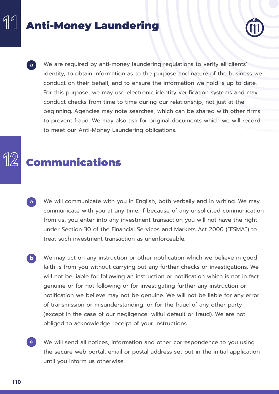# Anti-Money Laundering



We are required by anti-money laundering regulations to verify all clients' identity, to obtain information as to the purpose and nature of the business we conduct on their behalf, and to ensure the information we hold is up to date. For this purpose, we may use electronic identity verification systems and may conduct checks from time to time during our relationship, not just at the beginning. Agencies may note searches, which can be shared with other firms to prevent fraud. We may also ask for original documents which we will record to meet our Anti-Money Laundering obligations. **a**

# Communications

- We will communicate with you in English, both verbally and in writing. We may communicate with you at any time. If because of any unsolicited communication from us, you enter into any investment transaction you will not have the right under Section 30 of the Financial Services and Markets Act 2000 ("FSMA") to treat such investment transaction as unenforceable. **a**
- We may act on any instruction or other notification which we believe in good faith is from you without carrying out any further checks or investigations. We will not be liable for following an instruction or notification which is not in fact genuine or for not following or for investigating further any instruction or notification we believe may not be genuine. We will not be liable for any error of transmission or misunderstanding, or for the fraud of any other party (except in the case of our negligence, wilful default or fraud). We are not obliged to acknowledge receipt of your instructions. **b**
- We will send all notices, information and other correspondence to you using the secure web portal, email or postal address set out in the initial application until you inform us otherwise. **c**

11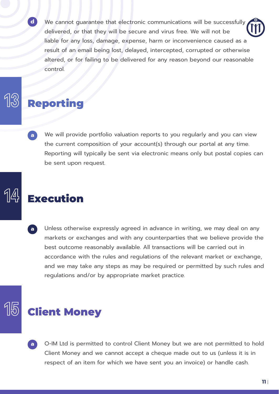We cannot guarantee that electronic communications will be successfully delivered, or that they will be secure and virus free. We will not be liable for any loss, damage, expense, harm or inconvenience caused as a result of an email being lost, delayed, intercepted, corrupted or otherwise altered, or for failing to be delivered for any reason beyond our reasonable control.

## Reporting

**d**

We will provide portfolio valuation reports to you regularly and you can view the current composition of your account(s) through our portal at any time. Reporting will typically be sent via electronic means only but postal copies can be sent upon request. **a**

# Execution

Unless otherwise expressly agreed in advance in writing, we may deal on any markets or exchanges and with any counterparties that we believe provide the best outcome reasonably available. All transactions will be carried out in accordance with the rules and regulations of the relevant market or exchange, and we may take any steps as may be required or permitted by such rules and regulations and/or by appropriate market practice. **a**

## Client Money

O-IM Ltd is permitted to control Client Money but we are not permitted to hold Client Money and we cannot accept a cheque made out to us (unless it is in respect of an item for which we have sent you an invoice) or handle cash. **a**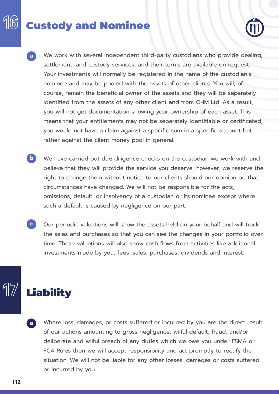# Custody and Nominee



- We work with several independent third-party custodians who provide dealing, settlement, and custody services, and their terms are available on request. Your investments will normally be registered in the name of the custodian's nominee and may be pooled with the assets of other clients. You will, of course, remain the beneficial owner of the assets and they will be separately identified from the assets of any other client and from O-IM Ltd. As a result, you will not get documentation showing your ownership of each asset. This means that your entitlements may not be separately identifiable or certificated; you would not have a claim against a specific sum in a specific account but rather against the client money pool in general. **a**
- We have carried out due diligence checks on the custodian we work with and believe that they will provide the service you deserve, however, we reserve the right to change them without notice to our clients should our opinion be that circumstances have changed. We will not be responsible for the acts, omissions, default, or insolvency of a custodian or its nominee except where such a default is caused by negligence on our part. **b**
- Our periodic valuations will show the assets held on your behalf and will track the sales and purchases so that you can see the changes in your portfolio over time. These valuations will also show cash flows from activities like additional investments made by you, fees, sales, purchases, dividends and interest. **c**

# **Liability**

Where loss, damages, or costs suffered or incurred by you are the direct result of our actions amounting to gross negligence, wilful default, fraud, and/or deliberate and wilful breach of any duties which we owe you under FSMA or FCA Rules then we will accept responsibility and act promptly to rectify the situation. We will not be liable for any other losses, damages or costs suffered or incurred by you. **a**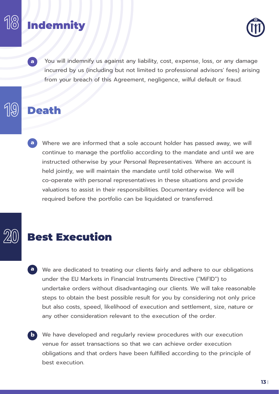# **Indemnity**



You will indemnify us against any liability, cost, expense, loss, or any damage incurred by us (including but not limited to professional advisors' fees) arising from your breach of this Agreement, negligence, wilful default or fraud.

### Death

**a**

**a** Where we are informed that a sole account holder has passed away, we will continue to manage the portfolio according to the mandate and until we are instructed otherwise by your Personal Representatives. Where an account is held jointly, we will maintain the mandate until told otherwise. We will co-operate with personal representatives in these situations and provide valuations to assist in their responsibilities. Documentary evidence will be required before the portfolio can be liquidated or transferred.

### Best Execution

- **a** We are dedicated to treating our clients fairly and adhere to our obligations under the EU Markets in Financial Instruments Directive ("MiFID") to undertake orders without disadvantaging our clients. We will take reasonable steps to obtain the best possible result for you by considering not only price but also costs, speed, likelihood of execution and settlement, size, nature or any other consideration relevant to the execution of the order.
- **b** We have developed and regularly review procedures with our execution venue for asset transactions so that we can achieve order execution obligations and that orders have been fulfilled according to the principle of best execution.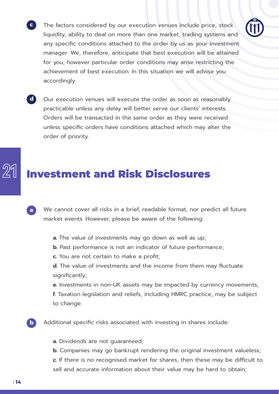- The factors considered by our execution venues include price, stock liquidity, ability to deal on more than one market, trading systems and any specific conditions attached to the order by us as your investment manager. We, therefore, anticipate that best execution will be attained for you, however particular order conditions may arise restricting the achievement of best execution. In this situation we will advise you accordingly.
- Our execution venues will execute the order as soon as reasonably practicable unless any delay will better serve our clients' interests. Orders will be transacted in the same order as they were received unless specific orders have conditions attached which may alter the order of priority. **d**

### Investment and Risk Disclosures

- We cannot cover all risks in a brief, readable format, nor predict all future market events. However, please be aware of the following: **a**
	- **a.** The value of investments may go down as well as up;
	- **b.** Past performance is not an indicator of future performance;
	- **c.** You are not certain to make a profit;
	- **d.** The value of investments and the income from them may fluctuate significantly;

**e.** Investments in non-UK assets may be impacted by currency movements;

- **f.** Taxation legislation and reliefs, including HMRC practice, may be subject to change.
- Additional specific risks associated with investing in shares include:
	- **a.** Dividends are not guaranteed;
	- **b.** Companies may go bankrupt rendering the original investment valueless; **c.** If there is no recognised market for shares, then these may be difficult to sell and accurate information about their value may be hard to obtain;

**b**

**c**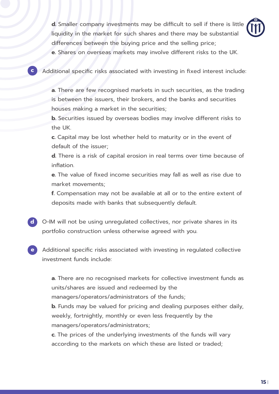**d.** Smaller company investments may be difficult to sell if there is little liquidity in the market for such shares and there may be substantial differences between the buying price and the selling price;

**e.** Shares on overseas markets may involve different risks to the UK.

Additional specific risks associated with investing in fixed interest include:

**c**

**a.** There are few recognised markets in such securities, as the trading is between the issuers, their brokers, and the banks and securities houses making a market in the securities;

**b.** Securities issued by overseas bodies may involve different risks to the UK.

**c.** Capital may be lost whether held to maturity or in the event of default of the issuer;

**d.** There is a risk of capital erosion in real terms over time because of inflation.

**e.** The value of fixed income securities may fall as well as rise due to market movements;

**f.** Compensation may not be available at all or to the entire extent of deposits made with banks that subsequently default.

- O-IM will not be using unregulated collectives, nor private shares in its **d** portfolio construction unless otherwise agreed with you.
- Additional specific risks associated with investing in regulated collective investment funds include: **e**

**a.** There are no recognised markets for collective investment funds as units/shares are issued and redeemed by the managers/operators/administrators of the funds;

**b.** Funds may be valued for pricing and dealing purposes either daily, weekly, fortnightly, monthly or even less frequently by the managers/operators/administrators;

**c.** The prices of the underlying investments of the funds will vary according to the markets on which these are listed or traded;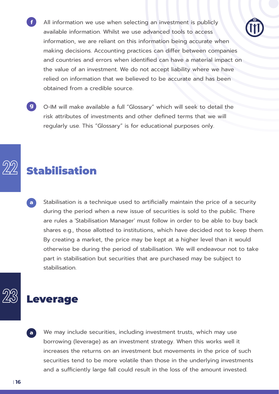- All information we use when selecting an investment is publicly available information. Whilst we use advanced tools to access information, we are reliant on this information being accurate when making decisions. Accounting practices can differ between companies and countries and errors when identified can have a material impact on the value of an investment. We do not accept liability where we have relied on information that we believed to be accurate and has been obtained from a credible source.
- O-IM will make available a full "Glossary" which will seek to detail the **g** risk attributes of investments and other defined terms that we will regularly use. This "Glossary" is for educational purposes only.

# Stabilisation

**f**

Stabilisation is a technique used to artificially maintain the price of a security during the period when a new issue of securities is sold to the public. There are rules a 'Stabilisation Manager' must follow in order to be able to buy back shares e.g., those allotted to institutions, which have decided not to keep them. By creating a market, the price may be kept at a higher level than it would otherwise be during the period of stabilisation. We will endeavour not to take part in stabilisation but securities that are purchased may be subject to stabilisation. **a**

### Leverage

We may include securities, including investment trusts, which may use borrowing (leverage) as an investment strategy. When this works well it increases the returns on an investment but movements in the price of such securities tend to be more volatile than those in the underlying investments and a sufficiently large fall could result in the loss of the amount invested. **a**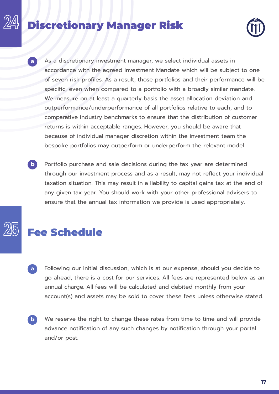# Discretionary Manager Risk



- As a discretionary investment manager, we select individual assets in accordance with the agreed Investment Mandate which will be subject to one of seven risk profiles. As a result, those portfolios and their performance will be specific, even when compared to a portfolio with a broadly similar mandate. We measure on at least a quarterly basis the asset allocation deviation and outperformance/underperformance of all portfolios relative to each, and to comparative industry benchmarks to ensure that the distribution of customer returns is within acceptable ranges. However, you should be aware that because of individual manager discretion within the investment team the bespoke portfolios may outperform or underperform the relevant model. **a**
- Portfolio purchase and sale decisions during the tax year are determined through our investment process and as a result, may not reflect your individual taxation situation. This may result in a liability to capital gains tax at the end of any given tax year. You should work with your other professional advisers to ensure that the annual tax information we provide is used appropriately. **b**



# Fee Schedule

- Following our initial discussion, which is at our expense, should you decide to go ahead, there is a cost for our services. All fees are represented below as an annual charge. All fees will be calculated and debited monthly from your account(s) and assets may be sold to cover these fees unless otherwise stated. **a**
- We reserve the right to change these rates from time to time and will provide advance notification of any such changes by notification through your portal and/or post. **b**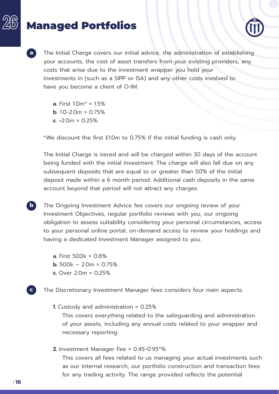# Managed Portfolios



**a** The Initial Charge covers our initial advice, the administration of establishing your accounts, the cost of asset transfers from your existing providers, any costs that arise due to the investment wrapper you hold your investments in (such as a SIPP or ISA) and any other costs involved to have you become a client of O-IM.

> **a.** First 1.0m\* = 1.5% **b.**  $10-2.0m = 0.75%$ **c.** +2.0m = 0.25%

\*We discount the first £1.0m to 0.75% if the initial funding is cash only.

The Initial Charge is tiered and will be charged within 30 days of the account being funded with the initial investment. The charge will also fall due on any subsequent deposits that are equal to or greater than 50% of the initial deposit made within a 6 month period. Additional cash deposits in the same account beyond that period will not attract any charges.

**b** The Ongoing Investment Advice fee covers our ongoing review of your Investment Objectives, regular portfolio reviews with you, our ongoing obligation to assess suitability considering your personal circumstances, access to your personal online portal, on-demand access to review your holdings and having a dedicated Investment Manager assigned to you.

- **a.** First 500k = 0.8%
- **b.**  $500k 2.0m = 0.75%$
- **c.** Over 2.0m = 0.25%

The Discretionary Investment Manager fees considers four main aspects:

**1.** Custody and administration = 0.25%

This covers everything related to the safeguarding and administration of your assets, including any annual costs related to your wrapper and necessary reporting.

**2.** Investment Manager Fee = 0.45-0.95\*%

This covers all fees related to us managing your actual investments such as our internal research, our portfolio construction and transaction fees for any trading activity. The range provided reflects the potential

**c**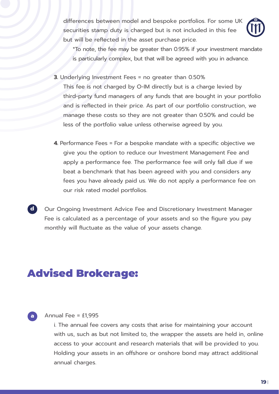differences between model and bespoke portfolios. For some UK securities stamp duty is charged but is not included in this fee but will be reflected in the asset purchase price.



\*To note, the fee may be greater than 0.95% if your investment mandate is particularly complex, but that will be agreed with you in advance.

**3.** Underlying Investment Fees = no greater than 0.50%

This fee is not charged by O-IM directly but is a charge levied by third-party fund managers of any funds that are bought in your portfolio and is reflected in their price. As part of our portfolio construction, we manage these costs so they are not greater than 0.50% and could be less of the portfolio value unless otherwise agreed by you.

**4.** Performance Fees = For a bespoke mandate with a specific objective we give you the option to reduce our Investment Management Fee and apply a performance fee. The performance fee will only fall due if we beat a benchmark that has been agreed with you and considers any fees you have already paid us. We do not apply a performance fee on our risk rated model portfolios.

Our Ongoing Investment Advice Fee and Discretionary Investment Manager Fee is calculated as a percentage of your assets and so the figure you pay monthly will fluctuate as the value of your assets change.

## Advised Brokerage:



**d**

### Annual Fee = £1,995

i. The annual fee covers any costs that arise for maintaining your account with us, such as but not limited to, the wrapper the assets are held in, online access to your account and research materials that will be provided to you. Holding your assets in an offshore or onshore bond may attract additional annual charges.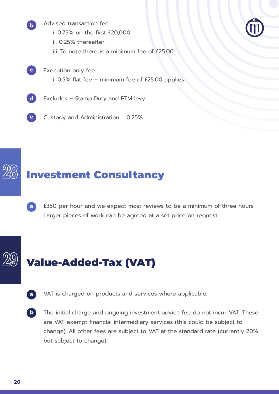Advised transaction fee i. 0.75% on the first £20,000 ii. 0.25% thereafter

iii. To note there is a minimum fee of £25.00



- **c** Execution only fee i. 0.5% flat fee – minimum fee of £25.00 applies
- **d** Excludes – Stamp Duty and PTM levy

**b**

**e** Custody and Administration = 0.25%

# Investment Consultancy

£350 per hour and we expect most reviews to be a minimum of three hours. Larger pieces of work can be agreed at a set price on request. **a**

# Value-Added-Tax (VAT)

- VAT is charged on products and services where applicable. **a**
- The initial charge and ongoing investment advice fee do not incur VAT. These are VAT exempt financial intermediary services (this could be subject to change). All other fees are subject to VAT at the standard rate (currently 20% but subject to change).. **b**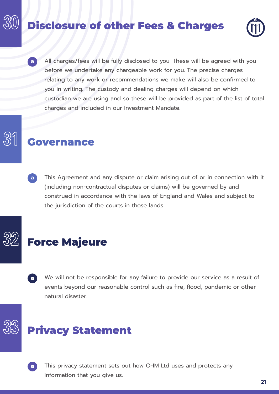# Disclosure of other Fees & Charges



All charges/fees will be fully disclosed to you. These will be agreed with you before we undertake any chargeable work for you. The precise charges relating to any work or recommendations we make will also be confirmed to you in writing. The custody and dealing charges will depend on which custodian we are using and so these will be provided as part of the list of total charges and included in our Investment Mandate. **a**

### Governance

This Agreement and any dispute or claim arising out of or in connection with it (including non-contractual disputes or claims) will be governed by and construed in accordance with the laws of England and Wales and subject to the jurisdiction of the courts in those lands. **a**

## Force Majeure

We will not be responsible for any failure to provide our service as a result of events beyond our reasonable control such as fire, flood, pandemic or other natural disaster. **a**

# Privacy Statement



This privacy statement sets out how O-IM Ltd uses and protects any information that you give us.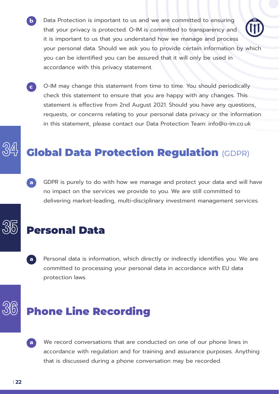- **b** Data Protection is important to us and we are committed to ensuring that your privacy is protected. O-IM is committed to transparency and it is important to us that you understand how we manage and process your personal data. Should we ask you to provide certain information by which you can be identified you can be assured that it will only be used in accordance with this privacy statement.
- **c** O-IM may change this statement from time to time. You should periodically check this statement to ensure that you are happy with any changes. This statement is effective from 2nd August 2021. Should you have any questions, requests, or concerns relating to your personal data privacy or the information in this statement, please contact our Data Protection Team: info@o-im.co.uk

# Global Data Protection Regulation (GDPR)

GDPR is purely to do with how we manage and protect your data and will have no impact on the services we provide to you. We are still committed to delivering market-leading, multi-disciplinary investment management services. **a**

### Personal Data

Personal data is information, which directly or indirectly identifies you. We are committed to processing your personal data in accordance with EU data protection laws. **a**

# Phone Line Recording

We record conversations that are conducted on one of our phone lines in accordance with regulation and for training and assurance purposes. Anything that is discussed during a phone conversation may be recorded. **a**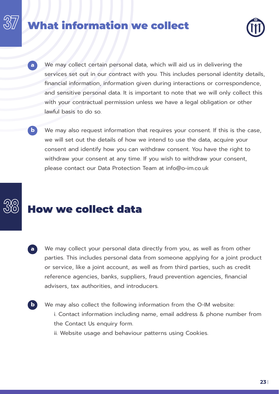### hat information we collect



- We may collect certain personal data, which will aid us in delivering the services set out in our contract with you. This includes personal identity details, financial information, information given during interactions or correspondence, and sensitive personal data. It is important to note that we will only collect this with your contractual permission unless we have a legal obligation or other lawful basis to do so.
	- We may also request information that requires your consent. If this is the case, we will set out the details of how we intend to use the data, acquire your consent and identify how you can withdraw consent. You have the right to withdraw your consent at any time. If you wish to withdraw your consent, please contact our Data Protection Team at info@o-im.co.uk

**b**

**a**

**b**

# How we collect data

- We may collect your personal data directly from you, as well as from other parties. This includes personal data from someone applying for a joint product or service, like a joint account, as well as from third parties, such as credit reference agencies, banks, suppliers, fraud prevention agencies, financial advisers, tax authorities, and introducers. **a**
	- We may also collect the following information from the O-IM website: i. Contact information including name, email address & phone number from the Contact Us enquiry form.
		- ii. Website usage and behaviour patterns using Cookies.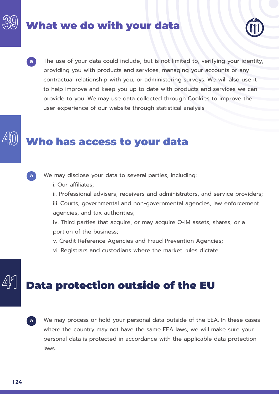# What we do with your data



**a**

The use of your data could include, but is not limited to, verifying your identity, providing you with products and services, managing your accounts or any contractual relationship with you, or administering surveys. We will also use it to help improve and keep you up to date with products and services we can provide to you. We may use data collected through Cookies to improve the user experience of our website through statistical analysis.

# Who has access to your data



We may disclose your data to several parties, including:

i. Our affiliates;

ii. Professional advisers, receivers and administrators, and service providers; iii. Courts, governmental and non-governmental agencies, law enforcement

agencies, and tax authorities;

iv. Third parties that acquire, or may acquire O-IM assets, shares, or a portion of the business;

v. Credit Reference Agencies and Fraud Prevention Agencies;

vi. Registrars and custodians where the market rules dictate

# Data protection outside of the EU

We may process or hold your personal data outside of the EEA. In these cases where the country may not have the same EEA laws, we will make sure your personal data is protected in accordance with the applicable data protection laws. **a**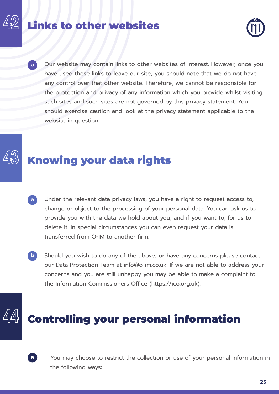# Links to other websites



Our website may contain links to other websites of interest. However, once you have used these links to leave our site, you should note that we do not have any control over that other website. Therefore, we cannot be responsible for the protection and privacy of any information which you provide whilst visiting such sites and such sites are not governed by this privacy statement. You should exercise caution and look at the privacy statement applicable to the website in question.

# Knowing your data rights

- Under the relevant data privacy laws, you have a right to request access to, change or object to the processing of your personal data. You can ask us to provide you with the data we hold about you, and if you want to, for us to delete it. In special circumstances you can even request your data is transferred from O-IM to another firm. **a**
- Should you wish to do any of the above, or have any concerns please contact our Data Protection Team at info@o-im.co.uk. If we are not able to address your concerns and you are still unhappy you may be able to make a complaint to the Information Commissioners Office (https://ico.org.uk). **b**

# Controlling your personal information



**a**

You may choose to restrict the collection or use of your personal information in the following ways: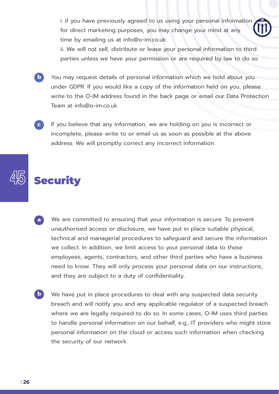i. if you have previously agreed to us using your personal information for direct marketing purposes, you may change your mind at any time by emailing us at info@o-im.co.uk.

ii. We will not sell, distribute or lease your personal information to third parties unless we have your permission or are required by law to do so.

**b**

You may request details of personal information which we hold about you under GDPR. If you would like a copy of the information held on you, please write to the O-IM address found in the back page or email our Data Protection Team at info@o-im.co.uk

If you believe that any information, we are holding on you is incorrect or incomplete, please write to or email us as soon as possible at the above address. We will promptly correct any incorrect information. **c**

# **Security**

- We are committed to ensuring that your information is secure. To prevent unauthorised access or disclosure, we have put in place suitable physical, technical and managerial procedures to safeguard and secure the information we collect. In addition, we limit access to your personal data to those employees, agents, contractors, and other third parties who have a business need to know. They will only process your personal data on our instructions, and they are subject to a duty of confidentiality. **a**
- We have put in place procedures to deal with any suspected data security breach and will notify you and any applicable regulator of a suspected breach where we are legally required to do so. In some cases, O-IM uses third parties to handle personal information on our behalf, e.g., IT providers who might store personal information on the cloud or access such information when checking the security of our network. **b**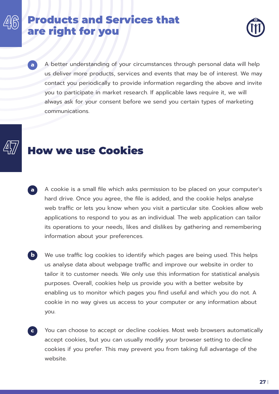### Products and Services that are right for you



A better understanding of your circumstances through personal data will help us deliver more products, services and events that may be of interest. We may contact you periodically to provide information regarding the above and invite you to participate in market research. If applicable laws require it, we will always ask for your consent before we send you certain types of marketing communications.

### How we use Cookies

**a**

- A cookie is a small file which asks permission to be placed on your computer's hard drive. Once you agree, the file is added, and the cookie helps analyse web traffic or lets you know when you visit a particular site. Cookies allow web applications to respond to you as an individual. The web application can tailor its operations to your needs, likes and dislikes by gathering and remembering information about your preferences. **a**
- We use traffic log cookies to identify which pages are being used. This helps us analyse data about webpage traffic and improve our website in order to tailor it to customer needs. We only use this information for statistical analysis purposes. Overall, cookies help us provide you with a better website by enabling us to monitor which pages you find useful and which you do not. A cookie in no way gives us access to your computer or any information about you. **b**
- You can choose to accept or decline cookies. Most web browsers automatically accept cookies, but you can usually modify your browser setting to decline cookies if you prefer. This may prevent you from taking full advantage of the website. **c**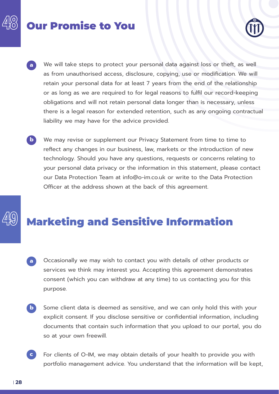# Our Promise to You



- We will take steps to protect your personal data against loss or theft, as well as from unauthorised access, disclosure, copying, use or modification. We will retain your personal data for at least 7 years from the end of the relationship or as long as we are required to for legal reasons to fulfil our record-keeping obligations and will not retain personal data longer than is necessary, unless there is a legal reason for extended retention, such as any ongoing contractual liability we may have for the advice provided. **a**
- We may revise or supplement our Privacy Statement from time to time to reflect any changes in our business, law, markets or the introduction of new technology. Should you have any questions, requests or concerns relating to your personal data privacy or the information in this statement, please contact our Data Protection Team at info@o-im.co.uk or write to the Data Protection Officer at the address shown at the back of this agreement. **b**

# Marketing and Sensitive Information

- Occasionally we may wish to contact you with details of other products or services we think may interest you. Accepting this agreement demonstrates consent (which you can withdraw at any time) to us contacting you for this purpose. **a**
- Some client data is deemed as sensitive, and we can only hold this with your explicit consent. If you disclose sensitive or confidential information, including documents that contain such information that you upload to our portal, you do so at your own freewill. **b**
- For clients of O-IM, we may obtain details of your health to provide you with portfolio management advice. You understand that the information will be kept, **c**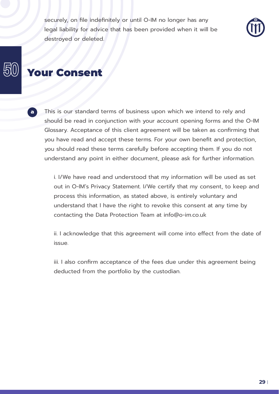securely, on file indefinitely or until O-IM no longer has any legal liability for advice that has been provided when it will be destroyed or deleted.



### Your Consent

**a**

This is our standard terms of business upon which we intend to rely and should be read in conjunction with your account opening forms and the O-IM Glossary. Acceptance of this client agreement will be taken as confirming that you have read and accept these terms. For your own benefit and protection, you should read these terms carefully before accepting them. If you do not understand any point in either document, please ask for further information.

i. I/We have read and understood that my information will be used as set out in O-IM's Privacy Statement. I/We certify that my consent, to keep and process this information, as stated above, is entirely voluntary and understand that I have the right to revoke this consent at any time by contacting the Data Protection Team at info@o-im.co.uk

ii. I acknowledge that this agreement will come into effect from the date of issue.

iii. I also confirm acceptance of the fees due under this agreement being deducted from the portfolio by the custodian.